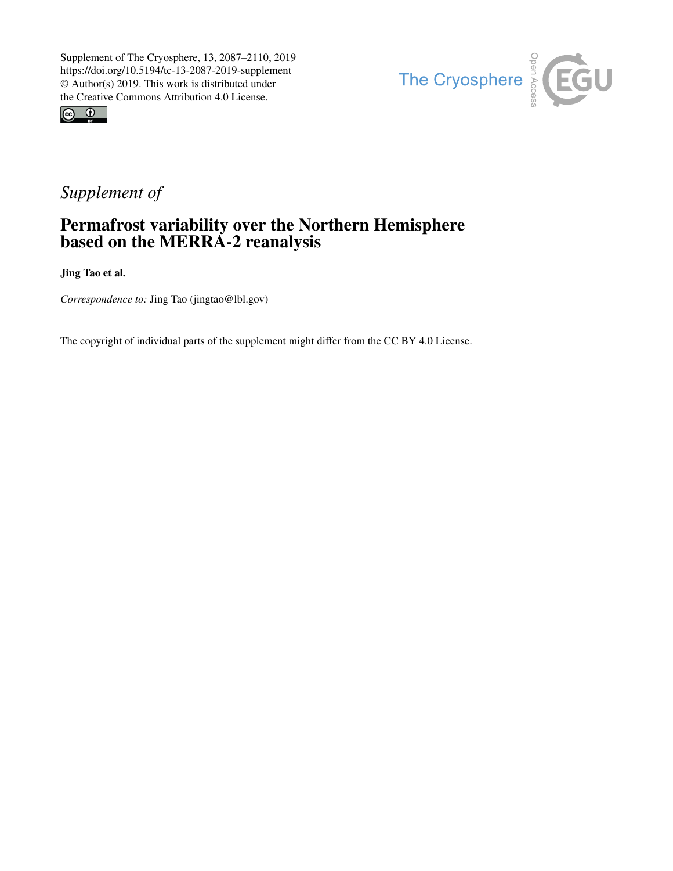



## *Supplement of*

## Permafrost variability over the Northern Hemisphere based on the MERRA-2 reanalysis

Jing Tao et al.

*Correspondence to:* Jing Tao (jingtao@lbl.gov)

The copyright of individual parts of the supplement might differ from the CC BY 4.0 License.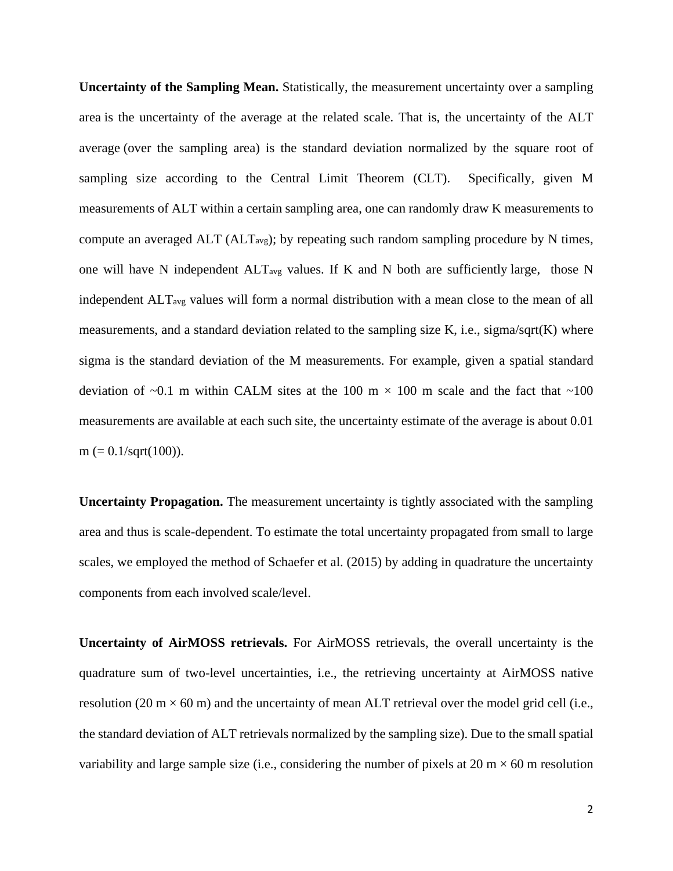**Uncertainty of the Sampling Mean.** Statistically, the measurement uncertainty over a sampling area is the uncertainty of the average at the related scale. That is, the uncertainty of the ALT average (over the sampling area) is the standard deviation normalized by the square root of sampling size according to the Central Limit Theorem (CLT). Specifically, given M measurements of ALT within a certain sampling area, one can randomly draw K measurements to compute an averaged  $ALT (ALT_{avg})$ ; by repeating such random sampling procedure by N times, one will have N independent  $ALT_{avg}$  values. If K and N both are sufficiently large, those N independent ALTavg values will form a normal distribution with a mean close to the mean of all measurements, and a standard deviation related to the sampling size K, i.e., sigma/sqrt(K) where sigma is the standard deviation of the M measurements. For example, given a spatial standard deviation of  $\sim 0.1$  m within CALM sites at the 100 m  $\times$  100 m scale and the fact that  $\sim 100$ measurements are available at each such site, the uncertainty estimate of the average is about 0.01  $m (= 0.1/\sqrt{100}).$ 

**Uncertainty Propagation.** The measurement uncertainty is tightly associated with the sampling area and thus is scale-dependent. To estimate the total uncertainty propagated from small to large scales, we employed the method of [Schaefer et al. \(2015\)](#page-4-0) by adding in quadrature the uncertainty components from each involved scale/level.

**Uncertainty of AirMOSS retrievals.** For AirMOSS retrievals, the overall uncertainty is the quadrature sum of two-level uncertainties, i.e., the retrieving uncertainty at AirMOSS native resolution (20 m  $\times$  60 m) and the uncertainty of mean ALT retrieval over the model grid cell (i.e., the standard deviation of ALT retrievals normalized by the sampling size). Due to the small spatial variability and large sample size (i.e., considering the number of pixels at 20 m  $\times$  60 m resolution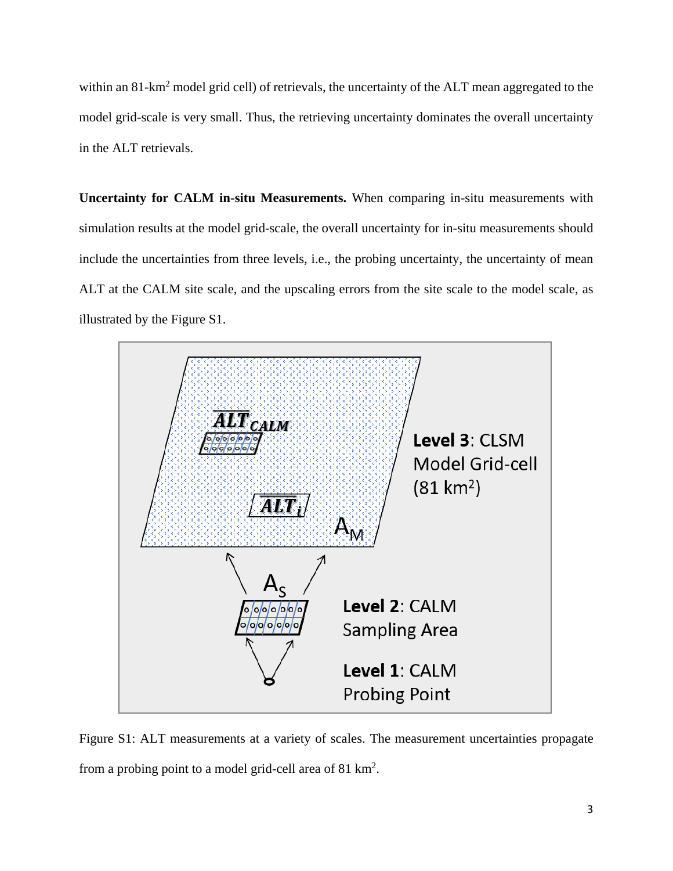within an 81-km<sup>2</sup> model grid cell) of retrievals, the uncertainty of the ALT mean aggregated to the model grid-scale is very small. Thus, the retrieving uncertainty dominates the overall uncertainty in the ALT retrievals.

**Uncertainty for CALM in-situ Measurements.** When comparing in-situ measurements with simulation results at the model grid-scale, the overall uncertainty for in-situ measurements should include the uncertainties from three levels, i.e., the probing uncertainty, the uncertainty of mean ALT at the CALM site scale, and the upscaling errors from the site scale to the model scale, as illustrated by the [Figure](#page-2-0) S1.



<span id="page-2-0"></span>Figure S1: ALT measurements at a variety of scales. The measurement uncertainties propagate from a probing point to a model grid-cell area of  $81 \text{ km}^2$ .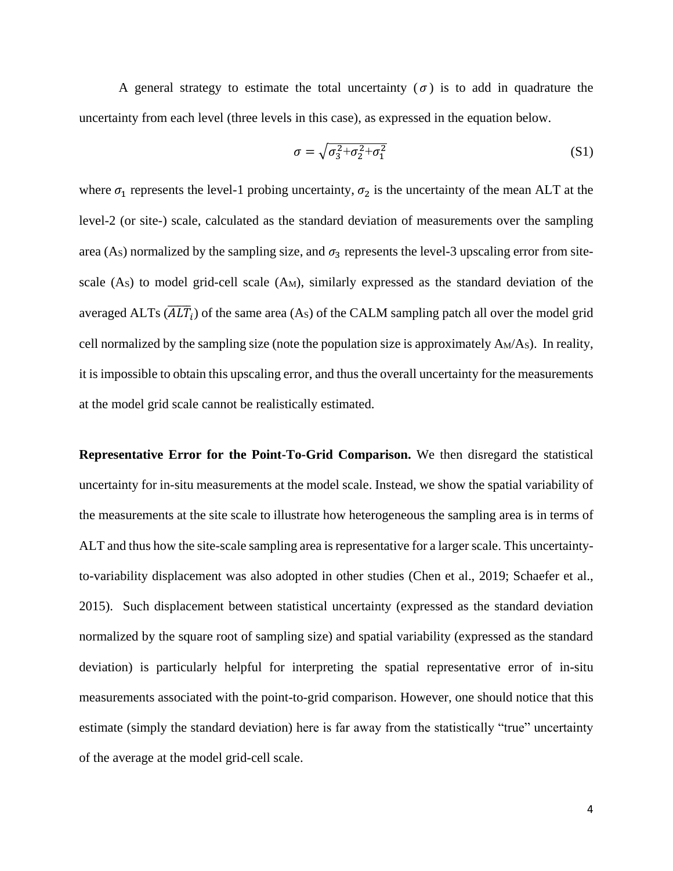A general strategy to estimate the total uncertainty ( $\sigma$ ) is to add in quadrature the uncertainty from each level (three levels in this case), as expressed in the equation below.

$$
\sigma = \sqrt{\sigma_3^2 + \sigma_2^2 + \sigma_1^2} \tag{S1}
$$

where  $\sigma_1$  represents the level-1 probing uncertainty,  $\sigma_2$  is the uncertainty of the mean ALT at the level-2 (or site-) scale, calculated as the standard deviation of measurements over the sampling area (As) normalized by the sampling size, and  $\sigma_3$  represents the level-3 upscaling error from sitescale  $(A<sub>S</sub>)$  to model grid-cell scale  $(A<sub>M</sub>)$ , similarly expressed as the standard deviation of the averaged ALTs  $(\overline{ALT}_i)$  of the same area  $(A_S)$  of the CALM sampling patch all over the model grid cell normalized by the sampling size (note the population size is approximately AM/AS). In reality, it is impossible to obtain this upscaling error, and thus the overall uncertainty for the measurements at the model grid scale cannot be realistically estimated.

**Representative Error for the Point-To-Grid Comparison.** We then disregard the statistical uncertainty for in-situ measurements at the model scale. Instead, we show the spatial variability of the measurements at the site scale to illustrate how heterogeneous the sampling area is in terms of ALT and thus how the site-scale sampling area is representative for a larger scale. This uncertaintyto-variability displacement was also adopted in other studies [\(Chen et al.,](#page-4-1) 2019; [Schaefer et al.,](#page-4-0)  [2015\)](#page-4-0). Such displacement between statistical uncertainty (expressed as the standard deviation normalized by the square root of sampling size) and spatial variability (expressed as the standard deviation) is particularly helpful for interpreting the spatial representative error of in-situ measurements associated with the point-to-grid comparison. However, one should notice that this estimate (simply the standard deviation) here is far away from the statistically "true" uncertainty of the average at the model grid-cell scale.